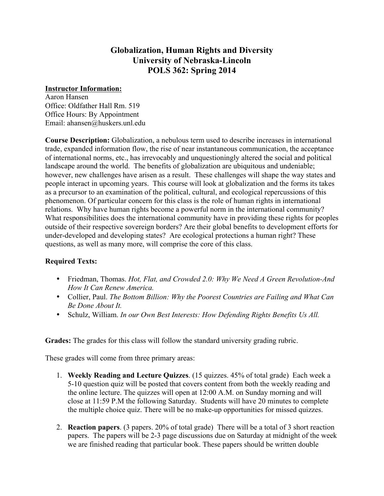# **Globalization, Human Rights and Diversity University of Nebraska-Lincoln POLS 362: Spring 2014**

### **Instructor Information:**

Aaron Hansen Office: Oldfather Hall Rm. 519 Office Hours: By Appointment Email: ahansen@huskers.unl.edu

**Course Description:** Globalization, a nebulous term used to describe increases in international trade, expanded information flow, the rise of near instantaneous communication, the acceptance of international norms, etc., has irrevocably and unquestioningly altered the social and political landscape around the world. The benefits of globalization are ubiquitous and undeniable; however, new challenges have arisen as a result. These challenges will shape the way states and people interact in upcoming years. This course will look at globalization and the forms its takes as a precursor to an examination of the political, cultural, and ecological repercussions of this phenomenon. Of particular concern for this class is the role of human rights in international relations. Why have human rights become a powerful norm in the international community? What responsibilities does the international community have in providing these rights for peoples outside of their respective sovereign borders? Are their global benefits to development efforts for under-developed and developing states? Are ecological protections a human right? These questions, as well as many more, will comprise the core of this class.

### **Required Texts:**

- Friedman, Thomas. *Hot, Flat, and Crowded 2.0: Why We Need A Green Revolution-And How It Can Renew America.*
- Collier, Paul. *The Bottom Billion: Why the Poorest Countries are Failing and What Can Be Done About It.*
- Schulz, William. *In our Own Best Interests: How Defending Rights Benefits Us All.*

**Grades:** The grades for this class will follow the standard university grading rubric.

These grades will come from three primary areas:

- 1. **Weekly Reading and Lecture Quizzes**. (15 quizzes. 45% of total grade) Each week a 5-10 question quiz will be posted that covers content from both the weekly reading and the online lecture. The quizzes will open at 12:00 A.M. on Sunday morning and will close at 11:59 P.M the following Saturday. Students will have 20 minutes to complete the multiple choice quiz. There will be no make-up opportunities for missed quizzes.
- 2. **Reaction papers**. (3 papers. 20% of total grade) There will be a total of 3 short reaction papers. The papers will be 2-3 page discussions due on Saturday at midnight of the week we are finished reading that particular book. These papers should be written double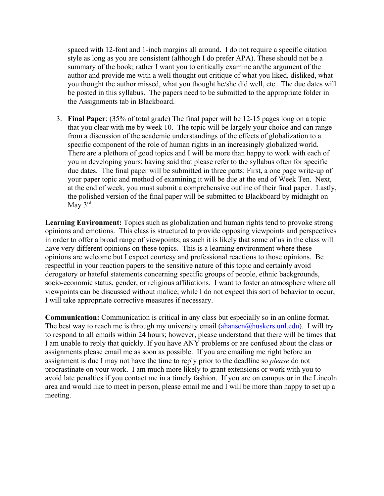spaced with 12-font and 1-inch margins all around. I do not require a specific citation style as long as you are consistent (although I do prefer APA). These should not be a summary of the book; rather I want you to critically examine an/the argument of the author and provide me with a well thought out critique of what you liked, disliked, what you thought the author missed, what you thought he/she did well, etc. The due dates will be posted in this syllabus. The papers need to be submitted to the appropriate folder in the Assignments tab in Blackboard.

3. **Final Paper**: (35% of total grade) The final paper will be 12-15 pages long on a topic that you clear with me by week 10. The topic will be largely your choice and can range from a discussion of the academic understandings of the effects of globalization to a specific component of the role of human rights in an increasingly globalized world. There are a plethora of good topics and I will be more than happy to work with each of you in developing yours; having said that please refer to the syllabus often for specific due dates. The final paper will be submitted in three parts: First, a one page write-up of your paper topic and method of examining it will be due at the end of Week Ten. Next, at the end of week, you must submit a comprehensive outline of their final paper. Lastly, the polished version of the final paper will be submitted to Blackboard by midnight on May  $3^{\text{rd}}$ .

**Learning Environment:** Topics such as globalization and human rights tend to provoke strong opinions and emotions. This class is structured to provide opposing viewpoints and perspectives in order to offer a broad range of viewpoints; as such it is likely that some of us in the class will have very different opinions on these topics. This is a learning environment where these opinions are welcome but I expect courtesy and professional reactions to those opinions. Be respectful in your reaction papers to the sensitive nature of this topic and certainly avoid derogatory or hateful statements concerning specific groups of people, ethnic backgrounds, socio-economic status, gender, or religious affiliations. I want to foster an atmosphere where all viewpoints can be discussed without malice; while I do not expect this sort of behavior to occur, I will take appropriate corrective measures if necessary.

**Communication:** Communication is critical in any class but especially so in an online format. The best way to reach me is through my university email  $(ahansen@huskers.unl.edu)$ . I will try to respond to all emails within 24 hours; however, please understand that there will be times that I am unable to reply that quickly. If you have ANY problems or are confused about the class or assignments please email me as soon as possible. If you are emailing me right before an assignment is due I may not have the time to reply prior to the deadline so *please* do not procrastinate on your work. I am much more likely to grant extensions or work with you to avoid late penalties if you contact me in a timely fashion. If you are on campus or in the Lincoln area and would like to meet in person, please email me and I will be more than happy to set up a meeting.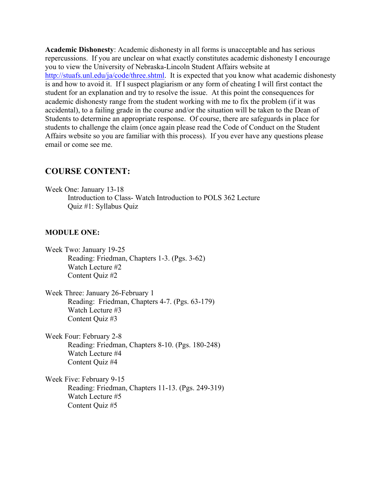**Academic Dishonesty**: Academic dishonesty in all forms is unacceptable and has serious repercussions. If you are unclear on what exactly constitutes academic dishonesty I encourage you to view the University of Nebraska-Lincoln Student Affairs website at http://stuafs.unl.edu/ja/code/three.shtml. It is expected that you know what academic dishonesty is and how to avoid it. If I suspect plagiarism or any form of cheating I will first contact the student for an explanation and try to resolve the issue. At this point the consequences for academic dishonesty range from the student working with me to fix the problem (if it was accidental), to a failing grade in the course and/or the situation will be taken to the Dean of Students to determine an appropriate response. Of course, there are safeguards in place for students to challenge the claim (once again please read the Code of Conduct on the Student Affairs website so you are familiar with this process). If you ever have any questions please email or come see me.

## **COURSE CONTENT:**

Week One: January 13-18 Introduction to Class- Watch Introduction to POLS 362 Lecture Quiz #1: Syllabus Quiz

### **MODULE ONE:**

- Week Two: January 19-25 Reading: Friedman, Chapters 1-3. (Pgs. 3-62) Watch Lecture #2 Content Quiz #2
- Week Three: January 26-February 1 Reading: Friedman, Chapters 4-7. (Pgs. 63-179) Watch Lecture #3 Content Quiz #3

Week Four: February 2-8 Reading: Friedman, Chapters 8-10. (Pgs. 180-248) Watch Lecture #4 Content Quiz #4

Week Five: February 9-15 Reading: Friedman, Chapters 11-13. (Pgs. 249-319) Watch Lecture #5 Content Quiz #5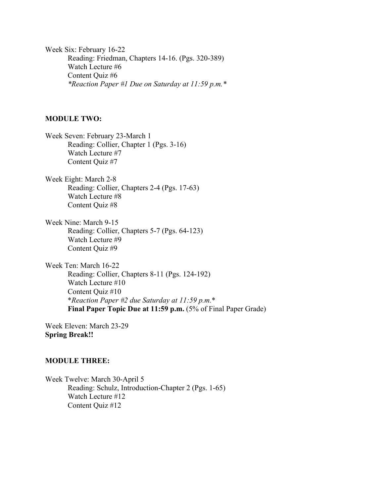Week Six: February 16-22 Reading: Friedman, Chapters 14-16. (Pgs. 320-389) Watch Lecture #6 Content Quiz #6 *\*Reaction Paper #1 Due on Saturday at 11:59 p.m.\**

#### **MODULE TWO:**

Week Seven: February 23-March 1 Reading: Collier, Chapter 1 (Pgs. 3-16) Watch Lecture #7 Content Quiz #7

Week Eight: March 2-8 Reading: Collier, Chapters 2-4 (Pgs. 17-63) Watch Lecture #8 Content Quiz #8

Week Nine: March 9-15 Reading: Collier, Chapters 5-7 (Pgs. 64-123) Watch Lecture #9 Content Quiz #9

Week Ten: March 16-22 Reading: Collier, Chapters 8-11 (Pgs. 124-192) Watch Lecture #10 Content Quiz #10 \**Reaction Paper #2 due Saturday at 11:59 p.m.*\* **Final Paper Topic Due at 11:59 p.m.** (5% of Final Paper Grade)

Week Eleven: March 23-29 **Spring Break!!**

### **MODULE THREE:**

Week Twelve: March 30-April 5 Reading: Schulz, Introduction-Chapter 2 (Pgs. 1-65) Watch Lecture #12 Content Quiz #12